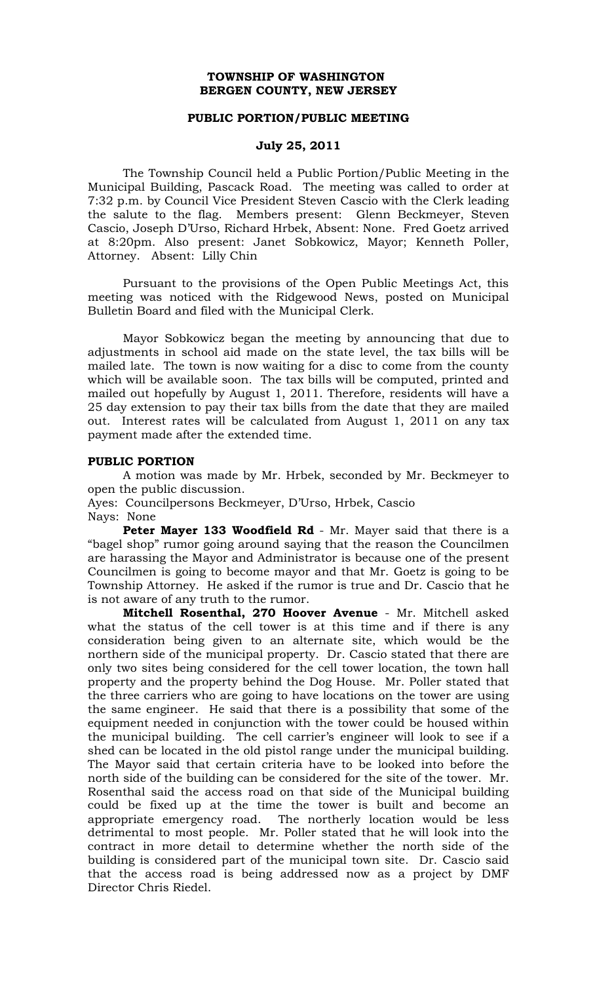## **TOWNSHIP OF WASHINGTON BERGEN COUNTY, NEW JERSEY**

#### **PUBLIC PORTION/PUBLIC MEETING**

## **July 25, 2011**

The Township Council held a Public Portion/Public Meeting in the Municipal Building, Pascack Road. The meeting was called to order at 7:32 p.m. by Council Vice President Steven Cascio with the Clerk leading the salute to the flag. Members present: Glenn Beckmeyer, Steven Cascio, Joseph D'Urso, Richard Hrbek, Absent: None. Fred Goetz arrived at 8:20pm. Also present: Janet Sobkowicz, Mayor; Kenneth Poller, Attorney. Absent: Lilly Chin

Pursuant to the provisions of the Open Public Meetings Act, this meeting was noticed with the Ridgewood News, posted on Municipal Bulletin Board and filed with the Municipal Clerk.

Mayor Sobkowicz began the meeting by announcing that due to adjustments in school aid made on the state level, the tax bills will be mailed late. The town is now waiting for a disc to come from the county which will be available soon. The tax bills will be computed, printed and mailed out hopefully by August 1, 2011. Therefore, residents will have a 25 day extension to pay their tax bills from the date that they are mailed out. Interest rates will be calculated from August 1, 2011 on any tax payment made after the extended time.

#### **PUBLIC PORTION**

A motion was made by Mr. Hrbek, seconded by Mr. Beckmeyer to open the public discussion.

Ayes: Councilpersons Beckmeyer, D'Urso, Hrbek, Cascio

Nays: None

**Peter Mayer 133 Woodfield Rd** - Mr. Mayer said that there is a "bagel shop" rumor going around saying that the reason the Councilmen are harassing the Mayor and Administrator is because one of the present Councilmen is going to become mayor and that Mr. Goetz is going to be Township Attorney. He asked if the rumor is true and Dr. Cascio that he is not aware of any truth to the rumor.

**Mitchell Rosenthal, 270 Hoover Avenue** - Mr. Mitchell asked what the status of the cell tower is at this time and if there is any consideration being given to an alternate site, which would be the northern side of the municipal property. Dr. Cascio stated that there are only two sites being considered for the cell tower location, the town hall property and the property behind the Dog House. Mr. Poller stated that the three carriers who are going to have locations on the tower are using the same engineer. He said that there is a possibility that some of the equipment needed in conjunction with the tower could be housed within the municipal building. The cell carrier's engineer will look to see if a shed can be located in the old pistol range under the municipal building. The Mayor said that certain criteria have to be looked into before the north side of the building can be considered for the site of the tower. Mr. Rosenthal said the access road on that side of the Municipal building could be fixed up at the time the tower is built and become an appropriate emergency road. The northerly location would be less detrimental to most people. Mr. Poller stated that he will look into the contract in more detail to determine whether the north side of the building is considered part of the municipal town site. Dr. Cascio said that the access road is being addressed now as a project by DMF Director Chris Riedel.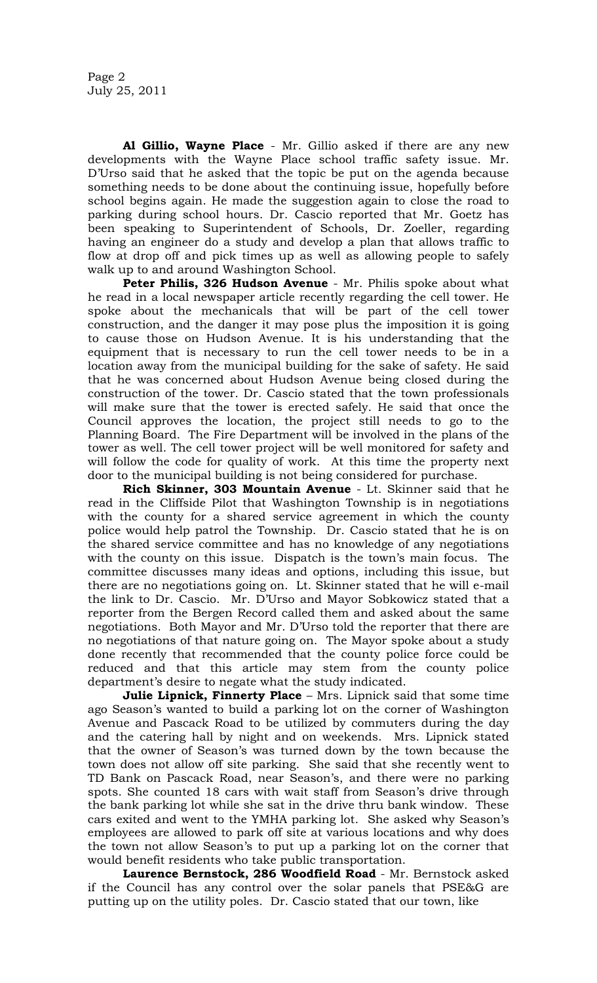**Al Gillio, Wayne Place** - Mr. Gillio asked if there are any new developments with the Wayne Place school traffic safety issue. Mr. D'Urso said that he asked that the topic be put on the agenda because something needs to be done about the continuing issue, hopefully before school begins again. He made the suggestion again to close the road to parking during school hours. Dr. Cascio reported that Mr. Goetz has been speaking to Superintendent of Schools, Dr. Zoeller, regarding having an engineer do a study and develop a plan that allows traffic to flow at drop off and pick times up as well as allowing people to safely walk up to and around Washington School.

Peter Philis, 326 Hudson Avenue - Mr. Philis spoke about what he read in a local newspaper article recently regarding the cell tower. He spoke about the mechanicals that will be part of the cell tower construction, and the danger it may pose plus the imposition it is going to cause those on Hudson Avenue. It is his understanding that the equipment that is necessary to run the cell tower needs to be in a location away from the municipal building for the sake of safety. He said that he was concerned about Hudson Avenue being closed during the construction of the tower. Dr. Cascio stated that the town professionals will make sure that the tower is erected safely. He said that once the Council approves the location, the project still needs to go to the Planning Board. The Fire Department will be involved in the plans of the tower as well. The cell tower project will be well monitored for safety and will follow the code for quality of work. At this time the property next door to the municipal building is not being considered for purchase.

**Rich Skinner, 303 Mountain Avenue** - Lt. Skinner said that he read in the Cliffside Pilot that Washington Township is in negotiations with the county for a shared service agreement in which the county police would help patrol the Township. Dr. Cascio stated that he is on the shared service committee and has no knowledge of any negotiations with the county on this issue. Dispatch is the town's main focus. The committee discusses many ideas and options, including this issue, but there are no negotiations going on. Lt. Skinner stated that he will e-mail the link to Dr. Cascio. Mr. D'Urso and Mayor Sobkowicz stated that a reporter from the Bergen Record called them and asked about the same negotiations. Both Mayor and Mr. D'Urso told the reporter that there are no negotiations of that nature going on. The Mayor spoke about a study done recently that recommended that the county police force could be reduced and that this article may stem from the county police department's desire to negate what the study indicated.

**Julie Lipnick, Finnerty Place** – Mrs. Lipnick said that some time ago Season's wanted to build a parking lot on the corner of Washington Avenue and Pascack Road to be utilized by commuters during the day and the catering hall by night and on weekends. Mrs. Lipnick stated that the owner of Season's was turned down by the town because the town does not allow off site parking. She said that she recently went to TD Bank on Pascack Road, near Season's, and there were no parking spots. She counted 18 cars with wait staff from Season's drive through the bank parking lot while she sat in the drive thru bank window. These cars exited and went to the YMHA parking lot. She asked why Season's employees are allowed to park off site at various locations and why does the town not allow Season's to put up a parking lot on the corner that would benefit residents who take public transportation.

**Laurence Bernstock, 286 Woodfield Road** - Mr. Bernstock asked if the Council has any control over the solar panels that PSE&G are putting up on the utility poles. Dr. Cascio stated that our town, like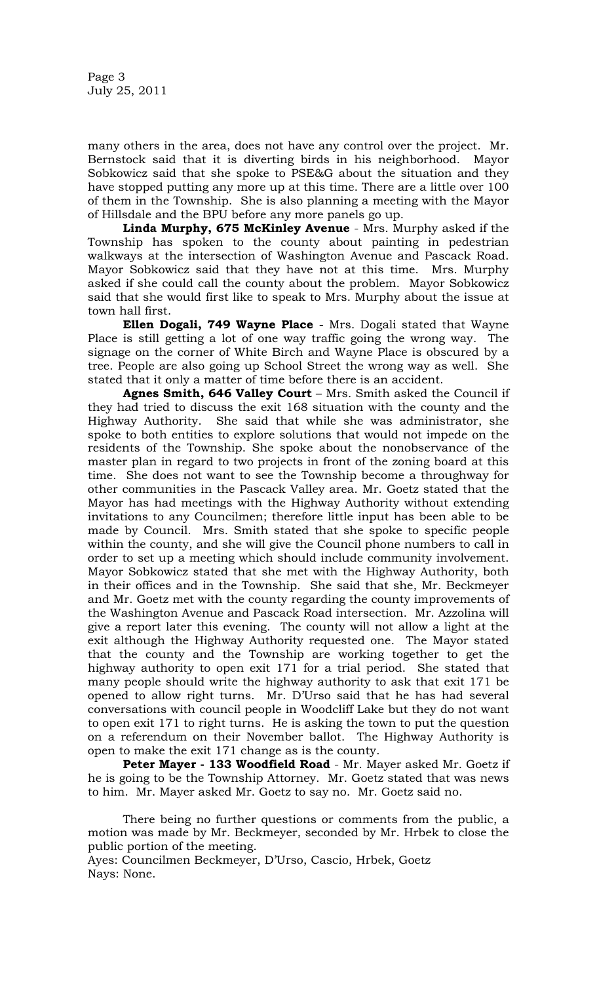Page 3 July 25, 2011

many others in the area, does not have any control over the project. Mr. Bernstock said that it is diverting birds in his neighborhood. Mayor Sobkowicz said that she spoke to PSE&G about the situation and they have stopped putting any more up at this time. There are a little over 100 of them in the Township. She is also planning a meeting with the Mayor of Hillsdale and the BPU before any more panels go up.

**Linda Murphy, 675 McKinley Avenue** - Mrs. Murphy asked if the Township has spoken to the county about painting in pedestrian walkways at the intersection of Washington Avenue and Pascack Road. Mayor Sobkowicz said that they have not at this time. Mrs. Murphy asked if she could call the county about the problem. Mayor Sobkowicz said that she would first like to speak to Mrs. Murphy about the issue at town hall first.

**Ellen Dogali, 749 Wayne Place** - Mrs. Dogali stated that Wayne Place is still getting a lot of one way traffic going the wrong way. The signage on the corner of White Birch and Wayne Place is obscured by a tree. People are also going up School Street the wrong way as well. She stated that it only a matter of time before there is an accident.

**Agnes Smith, 646 Valley Court** – Mrs. Smith asked the Council if they had tried to discuss the exit 168 situation with the county and the Highway Authority. She said that while she was administrator, she spoke to both entities to explore solutions that would not impede on the residents of the Township. She spoke about the nonobservance of the master plan in regard to two projects in front of the zoning board at this time. She does not want to see the Township become a throughway for other communities in the Pascack Valley area. Mr. Goetz stated that the Mayor has had meetings with the Highway Authority without extending invitations to any Councilmen; therefore little input has been able to be made by Council. Mrs. Smith stated that she spoke to specific people within the county, and she will give the Council phone numbers to call in order to set up a meeting which should include community involvement. Mayor Sobkowicz stated that she met with the Highway Authority, both in their offices and in the Township. She said that she, Mr. Beckmeyer and Mr. Goetz met with the county regarding the county improvements of the Washington Avenue and Pascack Road intersection. Mr. Azzolina will give a report later this evening. The county will not allow a light at the exit although the Highway Authority requested one. The Mayor stated that the county and the Township are working together to get the highway authority to open exit 171 for a trial period. She stated that many people should write the highway authority to ask that exit 171 be opened to allow right turns. Mr. D'Urso said that he has had several conversations with council people in Woodcliff Lake but they do not want to open exit 171 to right turns. He is asking the town to put the question on a referendum on their November ballot. The Highway Authority is open to make the exit 171 change as is the county.

**Peter Mayer - 133 Woodfield Road** - Mr. Mayer asked Mr. Goetz if he is going to be the Township Attorney. Mr. Goetz stated that was news to him. Mr. Mayer asked Mr. Goetz to say no. Mr. Goetz said no.

There being no further questions or comments from the public, a motion was made by Mr. Beckmeyer, seconded by Mr. Hrbek to close the public portion of the meeting.

Ayes: Councilmen Beckmeyer, D'Urso, Cascio, Hrbek, Goetz Nays: None.